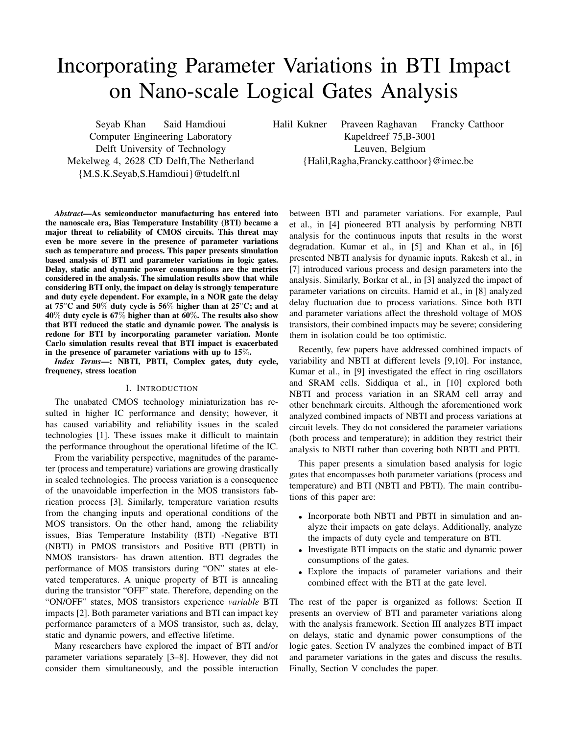# Incorporating Parameter Variations in BTI Impact on Nano-scale Logical Gates Analysis

Seyab Khan Said Hamdioui Computer Engineering Laboratory Delft University of Technology Mekelweg 4, 2628 CD Delft,The Netherland {M.S.K.Seyab,S.Hamdioui}@tudelft.nl

Halil Kukner Praveen Raghavan Francky Catthoor Kapeldreef 75,B-3001 Leuven, Belgium {Halil,Ragha,Francky.catthoor}@imec.be

*Abstract*—As semiconductor manufacturing has entered into the nanoscale era, Bias Temperature Instability (BTI) became a major threat to reliability of CMOS circuits. This threat may even be more severe in the presence of parameter variations such as temperature and process. This paper presents simulation based analysis of BTI and parameter variations in logic gates. Delay, static and dynamic power consumptions are the metrics considered in the analysis. The simulation results show that while considering BTI only, the impact on delay is strongly temperature and duty cycle dependent. For example, in a NOR gate the delay at 75 $\mathrm{^{\circ}C}$  and 50% duty cycle is 56% higher than at 25 $\mathrm{^{\circ}C}$ ; and at  $40\%$  duty cycle is 67% higher than at 60%. The results also show that BTI reduced the static and dynamic power. The analysis is redone for BTI by incorporating parameter variation. Monte Carlo simulation results reveal that BTI impact is exacerbated in the presence of parameter variations with up to 15%.

*Index Terms*—: NBTI, PBTI, Complex gates, duty cycle, frequency, stress location

## I. INTRODUCTION

The unabated CMOS technology miniaturization has resulted in higher IC performance and density; however, it has caused variability and reliability issues in the scaled technologies [1]. These issues make it difficult to maintain the performance throughout the operational lifetime of the IC.

From the variability perspective, magnitudes of the parameter (process and temperature) variations are growing drastically in scaled technologies. The process variation is a consequence of the unavoidable imperfection in the MOS transistors fabrication process [3]. Similarly, temperature variation results from the changing inputs and operational conditions of the MOS transistors. On the other hand, among the reliability issues, Bias Temperature Instability (BTI) -Negative BTI (NBTI) in PMOS transistors and Positive BTI (PBTI) in NMOS transistors- has drawn attention. BTI degrades the performance of MOS transistors during "ON" states at elevated temperatures. A unique property of BTI is annealing during the transistor "OFF" state. Therefore, depending on the "ON/OFF" states, MOS transistors experience *variable* BTI impacts [2]. Both parameter variations and BTI can impact key performance parameters of a MOS transistor, such as, delay, static and dynamic powers, and effective lifetime.

Many researchers have explored the impact of BTI and/or parameter variations separately [3–8]. However, they did not consider them simultaneously, and the possible interaction

between BTI and parameter variations. For example, Paul et al., in [4] pioneered BTI analysis by performing NBTI analysis for the continuous inputs that results in the worst degradation. Kumar et al., in [5] and Khan et al., in [6] presented NBTI analysis for dynamic inputs. Rakesh et al., in [7] introduced various process and design parameters into the analysis. Similarly, Borkar et al., in [3] analyzed the impact of parameter variations on circuits. Hamid et al., in [8] analyzed delay fluctuation due to process variations. Since both BTI and parameter variations affect the threshold voltage of MOS transistors, their combined impacts may be severe; considering them in isolation could be too optimistic.

Recently, few papers have addressed combined impacts of variability and NBTI at different levels [9,10]. For instance, Kumar et al., in [9] investigated the effect in ring oscillators and SRAM cells. Siddiqua et al., in [10] explored both NBTI and process variation in an SRAM cell array and other benchmark circuits. Although the aforementioned work analyzed combined impacts of NBTI and process variations at circuit levels. They do not considered the parameter variations (both process and temperature); in addition they restrict their analysis to NBTI rather than covering both NBTI and PBTI.

This paper presents a simulation based analysis for logic gates that encompasses both parameter variations (process and temperature) and BTI (NBTI and PBTI). The main contributions of this paper are:

- Incorporate both NBTI and PBTI in simulation and analyze their impacts on gate delays. Additionally, analyze the impacts of duty cycle and temperature on BTI.
- Investigate BTI impacts on the static and dynamic power consumptions of the gates.
- Explore the impacts of parameter variations and their combined effect with the BTI at the gate level.

The rest of the paper is organized as follows: Section II presents an overview of BTI and parameter variations along with the analysis framework. Section III analyzes BTI impact on delays, static and dynamic power consumptions of the logic gates. Section IV analyzes the combined impact of BTI and parameter variations in the gates and discuss the results. Finally, Section V concludes the paper.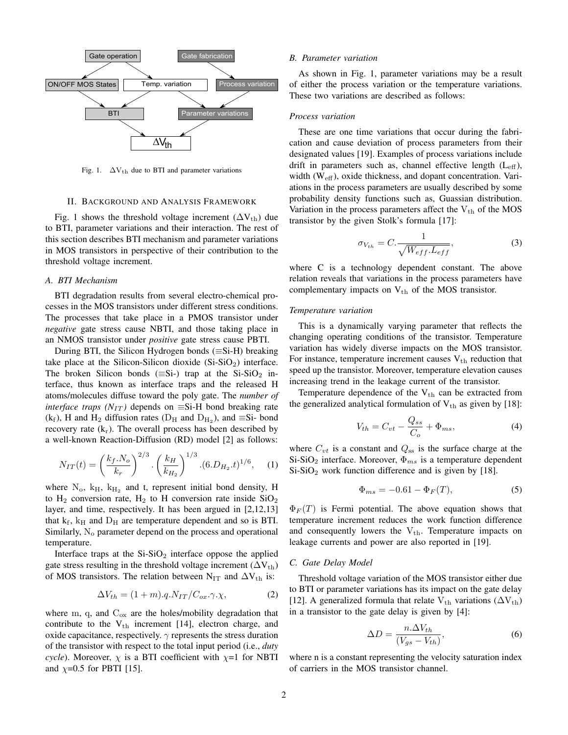

Fig. 1.  $\Delta V_{th}$  due to BTI and parameter variations

#### II. BACKGROUND AND ANALYSIS FRAMEWORK

Fig. 1 shows the threshold voltage increment  $(\Delta V_{th})$  due to BTI, parameter variations and their interaction. The rest of this section describes BTI mechanism and parameter variations in MOS transistors in perspective of their contribution to the threshold voltage increment.

#### *A. BTI Mechanism*

BTI degradation results from several electro-chemical processes in the MOS transistors under different stress conditions. The processes that take place in a PMOS transistor under *negative* gate stress cause NBTI, and those taking place in an NMOS transistor under *positive* gate stress cause PBTI.

During BTI, the Silicon Hydrogen bonds  $(\equiv S_i-H)$  breaking take place at the Silicon-Silicon dioxide  $(Si-SiO<sub>2</sub>)$  interface. The broken Silicon bonds ( $\equiv$ Si-) trap at the Si-SiO<sub>2</sub> interface, thus known as interface traps and the released H atoms/molecules diffuse toward the poly gate. The *number of interface traps (N<sub>IT</sub>)* depends on  $\equiv$  Si-H bond breaking rate  $(k_f)$ , H and H<sub>2</sub> diffusion rates (D<sub>H</sub> and D<sub>H<sub>2</sub>), and  $\equiv$ Si-bond</sub> recovery rate  $(k_r)$ . The overall process has been described by a well-known Reaction-Diffusion (RD) model [2] as follows:

$$
N_{IT}(t) = \left(\frac{k_f.N_o}{k_r}\right)^{2/3} \cdot \left(\frac{k_H}{k_{H_2}}\right)^{1/3} \cdot (6.D_{H_2}.t)^{1/6},\tag{1}
$$

where  $N_o$ ,  $k_H$ ,  $k_{H_2}$  and t, represent initial bond density, H to  $H_2$  conversion rate,  $H_2$  to H conversion rate inside  $SiO_2$ layer, and time, respectively. It has been argued in [2,12,13] that  $k_f$ ,  $k_H$  and  $D_H$  are temperature dependent and so is BTI. Similarly,  $N<sub>o</sub>$  parameter depend on the process and operational temperature.

Interface traps at the  $Si-SiO<sub>2</sub>$  interface oppose the applied gate stress resulting in the threshold voltage increment ( $\Delta V_{th}$ ) of MOS transistors. The relation between N<sub>IT</sub> and  $\Delta V_{th}$  is:

$$
\Delta V_{th} = (1 + m) \cdot q \cdot N_{IT} / C_{ox} \cdot \gamma \cdot \chi,\tag{2}
$$

where m, q, and  $C_{ox}$  are the holes/mobility degradation that contribute to the  $V_{th}$  increment [14], electron charge, and oxide capacitance, respectively.  $\gamma$  represents the stress duration of the transistor with respect to the total input period (i.e., *duty cycle*). Moreover,  $\chi$  is a BTI coefficient with  $\chi$ =1 for NBTI and  $\chi$ =0.5 for PBTI [15].

#### *B. Parameter variation*

As shown in Fig. 1, parameter variations may be a result of either the process variation or the temperature variations. These two variations are described as follows:

#### *Process variation*

These are one time variations that occur during the fabrication and cause deviation of process parameters from their designated values [19]. Examples of process variations include drift in parameters such as, channel effective length  $(L_{\text{eff}})$ , width  $(W_{\text{eff}})$ , oxide thickness, and dopant concentration. Variations in the process parameters are usually described by some probability density functions such as, Guassian distribution. Variation in the process parameters affect the  $V_{th}$  of the MOS transistor by the given Stolk's formula [17]:

$$
\sigma_{V_{th}} = C. \frac{1}{\sqrt{W_{eff}.L_{eff}}},\tag{3}
$$

where C is a technology dependent constant. The above relation reveals that variations in the process parameters have complementary impacts on  $V_{th}$  of the MOS transistor.

# *Temperature variation*

This is a dynamically varying parameter that reflects the changing operating conditions of the transistor. Temperature variation has widely diverse impacts on the MOS transistor. For instance, temperature increment causes  $V_{th}$  reduction that speed up the transistor. Moreover, temperature elevation causes increasing trend in the leakage current of the transistor.

Temperature dependence of the  $V_{th}$  can be extracted from the generalized analytical formulation of  $V_{th}$  as given by [18]:

$$
V_{th} = C_{vt} - \frac{Q_{ss}}{C_o} + \Phi_{ms},\tag{4}
$$

where  $C_{vt}$  is a constant and  $Q_{ss}$  is the surface charge at the Si-SiO<sub>2</sub> interface. Moreover,  $\Phi_{ms}$  is a temperature dependent  $Si-SiO<sub>2</sub>$  work function difference and is given by [18].

$$
\Phi_{ms} = -0.61 - \Phi_F(T),\tag{5}
$$

 $\Phi_F(T)$  is Fermi potential. The above equation shows that temperature increment reduces the work function difference and consequently lowers the  $V_{th}$ . Temperature impacts on leakage currents and power are also reported in [19].

#### *C. Gate Delay Model*

Threshold voltage variation of the MOS transistor either due to BTI or parameter variations has its impact on the gate delay [12]. A generalized formula that relate V<sub>th</sub> variations ( $\Delta V_{th}$ ) in a transistor to the gate delay is given by [4]:

$$
\Delta D = \frac{n.\Delta V_{th}}{(V_{gs} - V_{th})},\tag{6}
$$

where n is a constant representing the velocity saturation index of carriers in the MOS transistor channel.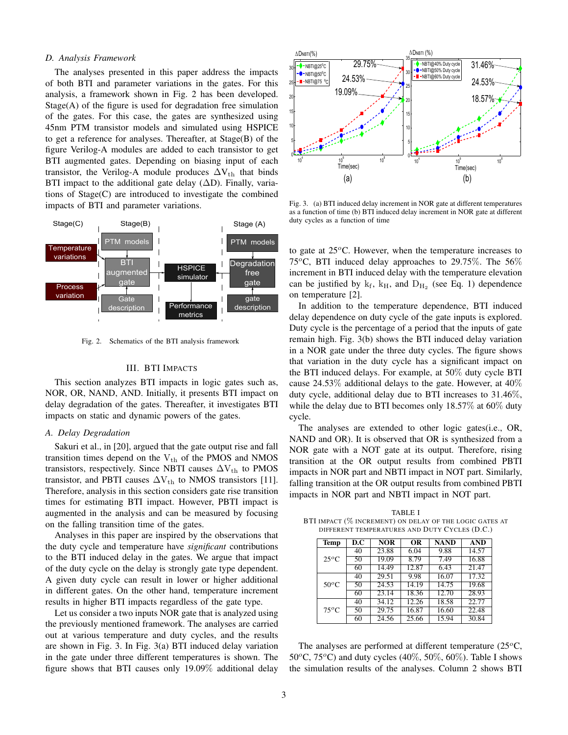## *D. Analysis Framework*

The analyses presented in this paper address the impacts of both BTI and parameter variations in the gates. For this analysis, a framework shown in Fig. 2 has been developed.  $Stage(A)$  of the figure is used for degradation free simulation of the gates. For this case, the gates are synthesized using 45nm PTM transistor models and simulated using HSPICE to get a reference for analyses. Thereafter, at Stage(B) of the figure Verilog-A modules are added to each transistor to get BTI augmented gates. Depending on biasing input of each transistor, the Verilog-A module produces  $\Delta V_{th}$  that binds BTI impact to the additional gate delay ( $\Delta D$ ). Finally, variations of Stage(C) are introduced to investigate the combined impacts of BTI and parameter variations.



Fig. 2. Schematics of the BTI analysis framework

# III. BTI IMPACTS

This section analyzes BTI impacts in logic gates such as, NOR, OR, NAND, AND. Initially, it presents BTI impact on delay degradation of the gates. Thereafter, it investigates BTI impacts on static and dynamic powers of the gates.

## *A. Delay Degradation*

Sakuri et al., in [20], argued that the gate output rise and fall transition times depend on the  $V_{th}$  of the PMOS and NMOS transistors, respectively. Since NBTI causes  $\Delta V_{th}$  to PMOS transistor, and PBTI causes  $\Delta V_{th}$  to NMOS transistors [11]. Therefore, analysis in this section considers gate rise transition times for estimating BTI impact. However, PBTI impact is augmented in the analysis and can be measured by focusing on the falling transition time of the gates.

Analyses in this paper are inspired by the observations that the duty cycle and temperature have *significant* contributions to the BTI induced delay in the gates. We argue that impact of the duty cycle on the delay is strongly gate type dependent. A given duty cycle can result in lower or higher additional in different gates. On the other hand, temperature increment results in higher BTI impacts regardless of the gate type.

Let us consider a two inputs NOR gate that is analyzed using the previously mentioned framework. The analyses are carried out at various temperature and duty cycles, and the results are shown in Fig. 3. In Fig. 3(a) BTI induced delay variation in the gate under three different temperatures is shown. The figure shows that BTI causes only 19.09% additional delay



Fig. 3. (a) BTI induced delay increment in NOR gate at different temperatures as a function of time (b) BTI induced delay increment in NOR gate at different duty cycles as a function of time

to gate at  $25^{\circ}$ C. However, when the temperature increases to 75<sup>o</sup>C, BTI induced delay approaches to 29.75%. The 56% increment in BTI induced delay with the temperature elevation can be justified by  $k_f$ ,  $k_H$ , and  $D_{H_2}$  (see Eq. 1) dependence on temperature [2].

In addition to the temperature dependence, BTI induced delay dependence on duty cycle of the gate inputs is explored. Duty cycle is the percentage of a period that the inputs of gate remain high. Fig. 3(b) shows the BTI induced delay variation in a NOR gate under the three duty cycles. The figure shows that variation in the duty cycle has a significant impact on the BTI induced delays. For example, at 50% duty cycle BTI cause 24.53% additional delays to the gate. However, at 40% duty cycle, additional delay due to BTI increases to 31.46%, while the delay due to BTI becomes only 18.57% at 60% duty cycle.

The analyses are extended to other logic gates(i.e., OR, NAND and OR). It is observed that OR is synthesized from a NOR gate with a NOT gate at its output. Therefore, rising transition at the OR output results from combined PBTI impacts in NOR part and NBTI impact in NOT part. Similarly, falling transition at the OR output results from combined PBTI impacts in NOR part and NBTI impact in NOT part.

TABLE I BTI IMPACT (% INCREMENT) ON DELAY OF THE LOGIC GATES AT DIFFERENT TEMPERATURES AND DUTY CYCLES (D.C.)

| <b>Temp</b>    | D.C | <b>NOR</b> | <b>OR</b> | <b>NAND</b> | <b>AND</b> |
|----------------|-----|------------|-----------|-------------|------------|
| $25^{\circ}$ C | 40  | 23.88      | 6.04      | 9.88        | 14.57      |
|                | 50  | 19.09      | 8.79      | 7.49        | 16.88      |
|                | 60  | 14.49      | 12.87     | 6.43        | 21.47      |
| $50^{\circ}$ C | 40  | 29.51      | 9.98      | 16.07       | 17.32      |
|                | 50  | 24.53      | 14.19     | 14.75       | 19.68      |
|                | 60  | 23.14      | 18.36     | 12.70       | 28.93      |
| $75^{\circ}$ C | 40  | 34.12      | 12.26     | 18.58       | 22.77      |
|                | 50  | 29.75      | 16.87     | 16.60       | 22.48      |
|                | 60  | 24.56      | 25.66     | 15.94       | 30.84      |

The analyses are performed at different temperature  $(25^{\circ}C,$ 50 $\degree$ C, 75 $\degree$ C) and duty cycles (40\%, 50\%, 60\%). Table I shows the simulation results of the analyses. Column 2 shows BTI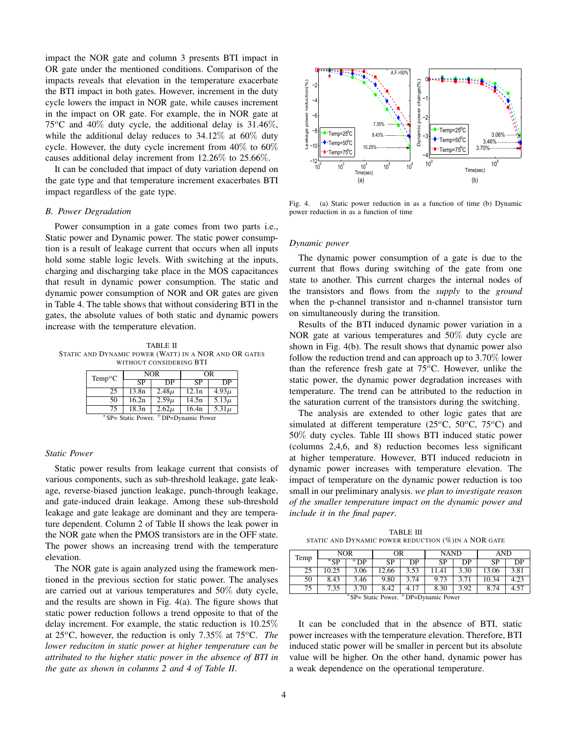impact the NOR gate and column 3 presents BTI impact in OR gate under the mentioned conditions. Comparison of the impacts reveals that elevation in the temperature exacerbate the BTI impact in both gates. However, increment in the duty cycle lowers the impact in NOR gate, while causes increment in the impact on OR gate. For example, the in NOR gate at 75<sup>o</sup>C and 40\% duty cycle, the additional delay is 31.46\%. while the additional delay reduces to  $34.12\%$  at  $60\%$  duty cycle. However, the duty cycle increment from  $40\%$  to  $60\%$ causes additional delay increment from 12.26% to 25.66%.

It can be concluded that impact of duty variation depend on the gate type and that temperature increment exacerbates BTI impact regardless of the gate type.

# *B. Power Degradation*

Power consumption in a gate comes from two parts i.e., Static power and Dynamic power. The static power consumption is a result of leakage current that occurs when all inputs hold some stable logic levels. With switching at the inputs, charging and discharging take place in the MOS capacitances that result in dynamic power consumption. The static and dynamic power consumption of NOR and OR gates are given in Table 4. The table shows that without considering BTI in the gates, the absolute values of both static and dynamic powers increase with the temperature elevation.

TABLE II STATIC AND DYNAMIC POWER (WATT) IN A NOR AND OR GATES WITHOUT CONSIDERING BTI

| $Temp^oC$                                        |       | <b>NOR</b> | ΟR    |           |  |  |
|--------------------------------------------------|-------|------------|-------|-----------|--|--|
|                                                  | SP    | DР         | SP    | DР        |  |  |
| 25                                               | 13.8n | $2.48\mu$  | 12.1n | $4.93\mu$ |  |  |
| 50                                               | 16.2n | $2.59\mu$  | 14.5n | $5.13\mu$ |  |  |
| 75                                               | 18.3n | $2.62\mu$  | 16.4n | $5.31\mu$ |  |  |
| *SP= Static Power, <sup>+</sup> DP=Dynamic Power |       |            |       |           |  |  |

## *Static Power*

Static power results from leakage current that consists of various components, such as sub-threshold leakage, gate leakage, reverse-biased junction leakage, punch-through leakage, and gate-induced drain leakage. Among these sub-threshold leakage and gate leakage are dominant and they are temperature dependent. Column 2 of Table II shows the leak power in the NOR gate when the PMOS transistors are in the OFF state. The power shows an increasing trend with the temperature elevation.

The NOR gate is again analyzed using the framework mentioned in the previous section for static power. The analyses are carried out at various temperatures and 50% duty cycle, and the results are shown in Fig. 4(a). The figure shows that static power reduction follows a trend opposite to that of the delay increment. For example, the static reduction is 10.25% at 25<sup>o</sup>C, however, the reduction is only 7.35% at 75<sup>o</sup>C. *The lower reduciton in static power at higher temperature can be attributed to the higher static power in the absence of BTI in the gate as shown in colunms 2 and 4 of Table II*.



Fig. 4. (a) Static power reduction in as a function of time (b) Dynamic power reduction in as a function of time

#### *Dynamic power*

The dynamic power consumption of a gate is due to the current that flows during switching of the gate from one state to another. This current charges the internal nodes of the transistors and flows from the *supply* to the *ground* when the p-channel transistor and n-channel transistor turn on simultaneously during the transition.

Results of the BTI induced dynamic power variation in a NOR gate at various temperatures and 50% duty cycle are shown in Fig. 4(b). The result shows that dynamic power also follow the reduction trend and can approach up to  $3.70\%$  lower than the reference fresh gate at  $75^{\circ}$ C. However, unlike the static power, the dynamic power degradation increases with temperature. The trend can be attributed to the reduction in the saturation current of the transistors during the switching.

The analysis are extended to other logic gates that are simulated at different temperature (25 $\rm ^{o}C$ , 50 $\rm ^{o}C$ , 75 $\rm ^{o}C$ ) and 50% duty cycles. Table III shows BTI induced static power (columns 2,4,6, and 8) reduction becomes less significant at higher temperature. However, BTI induced reduciotn in dynamic power increases with temperature elevation. The impact of temperature on the dynamic power reduction is too small in our preliminary analysis. *we plan to investigate reason of the smaller temperature impact on the dynamic power and include it in the final paper*.

TABLE III STATIC AND DYNAMIC POWER REDUCTION (%)IN A NOR GATE

| Temp                                             | <b>NOR</b> |       | OR        |      | <b>NAND</b> |      | AND   |      |
|--------------------------------------------------|------------|-------|-----------|------|-------------|------|-------|------|
|                                                  | *SP        | $+DP$ | <b>SP</b> | DP   | <b>SP</b>   | DР   | SP    | DР   |
| 25                                               | 10.25      | 3.06  | 12.66     | 3.53 | 11.41       | 3.30 | 13.06 | 3.81 |
| 50                                               | 8.43       | 3.46  | 9.80      | 3.74 | 9.73        | 3.71 | 10.34 | 4.23 |
| 75                                               | 7.35       | 3.70  | 8.42      | 4.17 | 8.30        | 3.92 | 8.74  | 4.57 |
| *SP= Static Power, <sup>+</sup> DP=Dynamic Power |            |       |           |      |             |      |       |      |

It can be concluded that in the absence of BTI, static power increases with the temperature elevation. Therefore, BTI induced static power will be smaller in percent but its absolute value will be higher. On the other hand, dynamic power has a weak dependence on the operational temperature.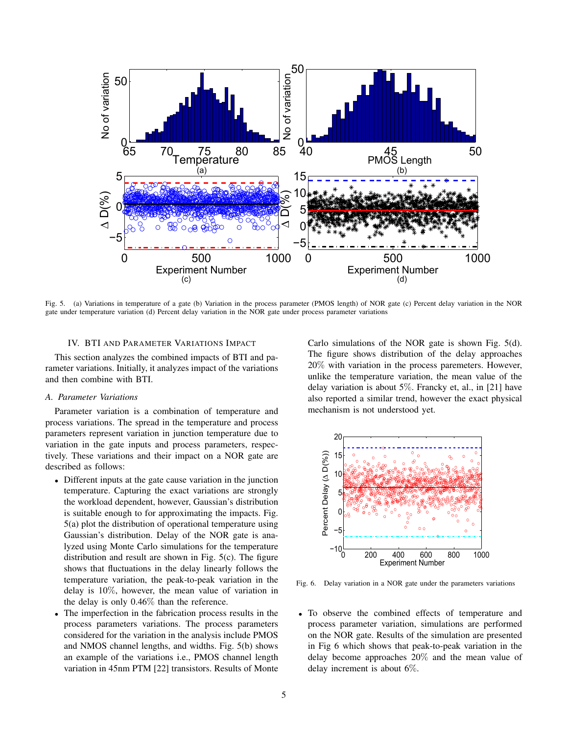

Fig. 5. (a) Variations in temperature of a gate (b) Variation in the process parameter (PMOS length) of NOR gate (c) Percent delay variation in the NOR gate under temperature variation (d) Percent delay variation in the NOR gate under process parameter variations

## IV. BTI AND PARAMETER VARIATIONS IMPACT

This section analyzes the combined impacts of BTI and parameter variations. Initially, it analyzes impact of the variations and then combine with BTI.

# *A. Parameter Variations*

Parameter variation is a combination of temperature and process variations. The spread in the temperature and process parameters represent variation in junction temperature due to variation in the gate inputs and process parameters, respectively. These variations and their impact on a NOR gate are described as follows:

- Different inputs at the gate cause variation in the junction temperature. Capturing the exact variations are strongly the workload dependent, however, Gaussian's distribution is suitable enough to for approximating the impacts. Fig. 5(a) plot the distribution of operational temperature using Gaussian's distribution. Delay of the NOR gate is analyzed using Monte Carlo simulations for the temperature distribution and result are shown in Fig. 5(c). The figure shows that fluctuations in the delay linearly follows the temperature variation, the peak-to-peak variation in the delay is 10%, however, the mean value of variation in the delay is only 0.46% than the reference.
- The imperfection in the fabrication process results in the process parameters variations. The process parameters considered for the variation in the analysis include PMOS and NMOS channel lengths, and widths. Fig. 5(b) shows an example of the variations i.e., PMOS channel length variation in 45nm PTM [22] transistors. Results of Monte

Carlo simulations of the NOR gate is shown Fig. 5(d). The figure shows distribution of the delay approaches 20% with variation in the process paremeters. However, unlike the temperature variation, the mean value of the delay variation is about 5%. Francky et, al., in [21] have also reported a similar trend, however the exact physical mechanism is not understood yet.



Fig. 6. Delay variation in a NOR gate under the parameters variations

• To observe the combined effects of temperature and process parameter variation, simulations are performed on the NOR gate. Results of the simulation are presented in Fig 6 which shows that peak-to-peak variation in the delay become approaches 20% and the mean value of delay increment is about 6%.